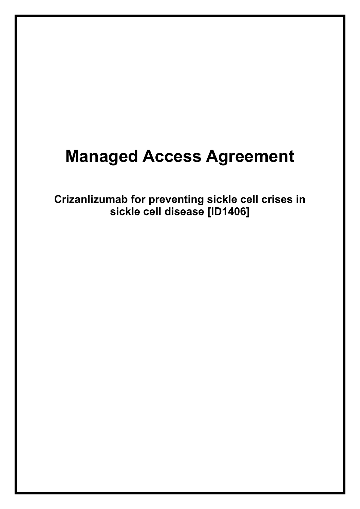# **Managed Access Agreement**

**Crizanlizumab for preventing sickle cell crises in sickle cell disease [ID1406]**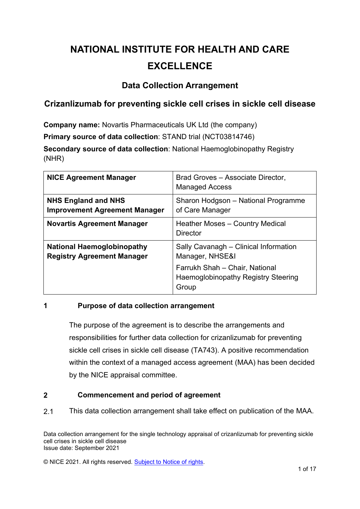### **NATIONAL INSTITUTE FOR HEALTH AND CARE EXCELLENCE**

#### **Data Collection Arrangement**

### **Crizanlizumab for preventing sickle cell crises in sickle cell disease**

**Company name:** Novartis Pharmaceuticals UK Ltd (the company)

**Primary source of data collection**: STAND trial (NCT03814746)

**Secondary source of data collection**: National Haemoglobinopathy Registry (NHR)

| <b>NICE Agreement Manager</b>                                          | Brad Groves - Associate Director,<br><b>Managed Access</b>                                                                                        |  |  |  |  |
|------------------------------------------------------------------------|---------------------------------------------------------------------------------------------------------------------------------------------------|--|--|--|--|
| <b>NHS England and NHS</b><br><b>Improvement Agreement Manager</b>     | Sharon Hodgson - National Programme<br>of Care Manager                                                                                            |  |  |  |  |
| <b>Novartis Agreement Manager</b>                                      | Heather Moses - Country Medical<br><b>Director</b>                                                                                                |  |  |  |  |
| <b>National Haemoglobinopathy</b><br><b>Registry Agreement Manager</b> | Sally Cavanagh - Clinical Information<br>Manager, NHSE&I<br>Farrukh Shah - Chair, National<br><b>Haemoglobinopathy Registry Steering</b><br>Group |  |  |  |  |

#### **1 Purpose of data collection arrangement**

The purpose of the agreement is to describe the arrangements and responsibilities for further data collection for crizanlizumab for preventing sickle cell crises in sickle cell disease (TA743). A positive recommendation within the context of a managed access agreement (MAA) has been decided by the NICE appraisal committee.

#### **2 Commencement and period of agreement**

2.1 This data collection arrangement shall take effect on publication of the MAA.

Data collection arrangement for the single technology appraisal of crizanlizumab for preventing sickle cell crises in sickle cell disease Issue date: September 2021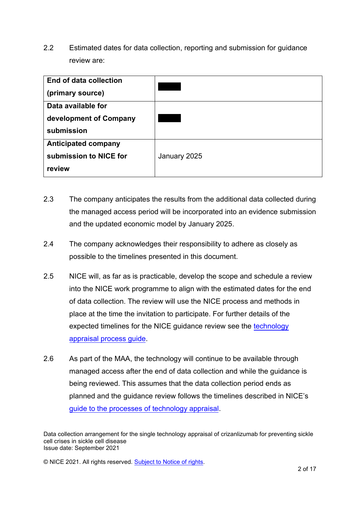2.2 Estimated dates for data collection, reporting and submission for guidance review are:

| End of data collection<br>(primary source) |              |
|--------------------------------------------|--------------|
| Data available for                         |              |
| development of Company                     |              |
| submission                                 |              |
| <b>Anticipated company</b>                 |              |
| submission to NICE for                     | January 2025 |
| review                                     |              |

- 2.3 The company anticipates the results from the additional data collected during the managed access period will be incorporated into an evidence submission and the updated economic model by January 2025.
- 2.4 The company acknowledges their responsibility to adhere as closely as possible to the timelines presented in this document.
- 2.5 NICE will, as far as is practicable, develop the scope and schedule a review into the NICE work programme to align with the estimated dates for the end of data collection. The review will use the NICE process and methods in place at the time the invitation to participate. For further details of the expected timelines for the NICE guidance review see the [technology](https://www.nice.org.uk/process/pmg19/chapter/acknowledgements) [appraisal process guide](https://www.nice.org.uk/process/pmg19/chapter/acknowledgements).
- 2.6 As part of the MAA, the technology will continue to be available through managed access after the end of data collection and while the guidance is being reviewed. This assumes that the data collection period ends as planned and the guidance review follows the timelines described in NICE's [guide to the processes of technology appraisal.](https://www.nice.org.uk/process/pmg19)

Data collection arrangement for the single technology appraisal of crizanlizumab for preventing sickle cell crises in sickle cell disease Issue date: September 2021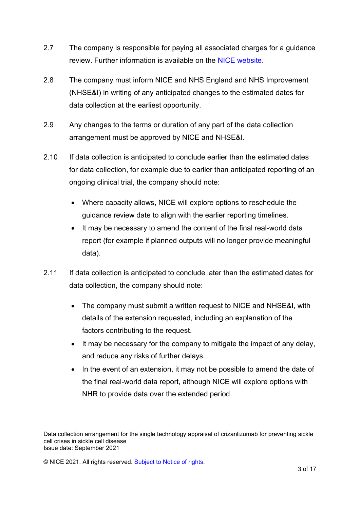- 2.7 The company is responsible for paying all associated charges for a guidance review. Further information is available on the [NICE website.](https://www.nice.org.uk/about/what-we-do/our-programmes/nice-guidance/nice-technology-appraisal-guidance/charging/procedure-ta)
- 2.8 The company must inform NICE and NHS England and NHS Improvement (NHSE&I) in writing of any anticipated changes to the estimated dates for data collection at the earliest opportunity.
- 2.9 Any changes to the terms or duration of any part of the data collection arrangement must be approved by NICE and NHSE&I.
- 2.10 If data collection is anticipated to conclude earlier than the estimated dates for data collection, for example due to earlier than anticipated reporting of an ongoing clinical trial, the company should note:
	- Where capacity allows, NICE will explore options to reschedule the guidance review date to align with the earlier reporting timelines.
	- It may be necessary to amend the content of the final real-world data report (for example if planned outputs will no longer provide meaningful data).
- 2.11 If data collection is anticipated to conclude later than the estimated dates for data collection, the company should note:
	- The company must submit a written request to NICE and NHSE&I, with details of the extension requested, including an explanation of the factors contributing to the request.
	- It may be necessary for the company to mitigate the impact of any delay, and reduce any risks of further delays.
	- In the event of an extension, it may not be possible to amend the date of the final real-world data report, although NICE will explore options with NHR to provide data over the extended period.

Data collection arrangement for the single technology appraisal of crizanlizumab for preventing sickle cell crises in sickle cell disease Issue date: September 2021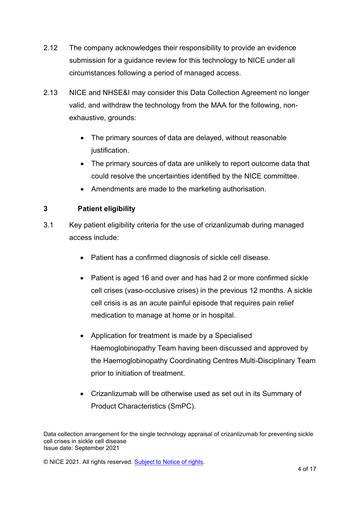- 2.12 The company acknowledges their responsibility to provide an evidence submission for a guidance review for this technology to NICE under all circumstances following a period of managed access.
- 2.13 NICE and NHSE&I may consider this Data Collection Agreement no longer valid, and withdraw the technology from the MAA for the following, nonexhaustive, grounds:
	- The primary sources of data are delayed, without reasonable justification.
	- The primary sources of data are unlikely to report outcome data that could resolve the uncertainties identified by the NICE committee.
	- Amendments are made to the marketing authorisation.

#### **3 Patient eligibility**

- 3.1 Key patient eligibility criteria for the use of crizanlizumab during managed access include:
	- Patient has a confirmed diagnosis of sickle cell disease.
	- Patient is aged 16 and over and has had 2 or more confirmed sickle cell crises (vaso-occlusive crises) in the previous 12 months. A sickle cell crisis is as an acute painful episode that requires pain relief medication to manage at home or in hospital.
	- Application for treatment is made by a Specialised Haemoglobinopathy Team having been discussed and approved by the Haemoglobinopathy Coordinating Centres Multi-Disciplinary Team prior to initiation of treatment.
	- Crizanlizumab will be otherwise used as set out in its Summary of Product Characteristics (SmPC).

Data collection arrangement for the single technology appraisal of crizanlizumab for preventing sickle cell crises in sickle cell disease Issue date: September 2021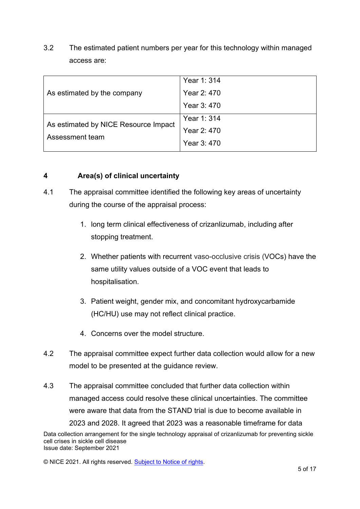3.2 The estimated patient numbers per year for this technology within managed access are:

| As estimated by the company                             | Year 1: 314 |
|---------------------------------------------------------|-------------|
|                                                         | Year 2: 470 |
|                                                         | Year 3:470  |
| As estimated by NICE Resource Impact<br>Assessment team | Year 1: 314 |
|                                                         | Year 2: 470 |
|                                                         | Year 3:470  |

#### **4 Area(s) of clinical uncertainty**

- 4.1 The appraisal committee identified the following key areas of uncertainty during the course of the appraisal process:
	- 1. long term clinical effectiveness of crizanlizumab, including after stopping treatment.
	- 2. Whether patients with recurrent vaso-occlusive crisis (VOCs) have the same utility values outside of a VOC event that leads to hospitalisation.
	- 3. Patient weight, gender mix, and concomitant hydroxycarbamide (HC/HU) use may not reflect clinical practice.
	- 4. Concerns over the model structure.
- 4.2 The appraisal committee expect further data collection would allow for a new model to be presented at the guidance review.
- Data collection arrangement for the single technology appraisal of crizanlizumab for preventing sickle 4.3 The appraisal committee concluded that further data collection within managed access could resolve these clinical uncertainties. The committee were aware that data from the STAND trial is due to become available in 2023 and 2028. It agreed that 2023 was a reasonable timeframe for data

cell crises in sickle cell disease Issue date: September 2021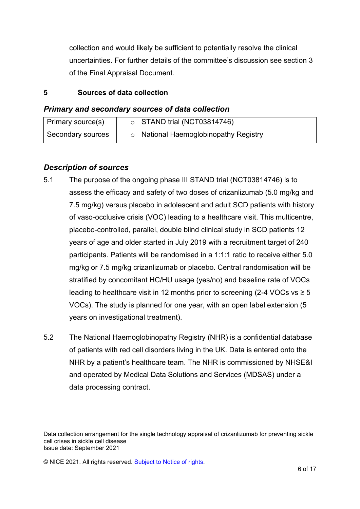collection and would likely be sufficient to potentially resolve the clinical uncertainties. For further details of the committee's discussion see section 3 of the Final Appraisal Document.

#### **5 Sources of data collection**

#### *Primary and secondary sources of data collection*

| Primary source(s) | $\circ$ STAND trial (NCT03814746)   |
|-------------------|-------------------------------------|
| Secondary sources | National Haemoglobinopathy Registry |

#### *Description of sources*

- 5.1 The purpose of the ongoing phase III STAND trial (NCT03814746) is to assess the efficacy and safety of two doses of crizanlizumab (5.0 mg/kg and 7.5 mg/kg) versus placebo in adolescent and adult SCD patients with history of vaso-occlusive crisis (VOC) leading to a healthcare visit. This multicentre, placebo-controlled, parallel, double blind clinical study in SCD patients 12 years of age and older started in July 2019 with a recruitment target of 240 participants. Patients will be randomised in a 1:1:1 ratio to receive either 5.0 mg/kg or 7.5 mg/kg crizanlizumab or placebo. Central randomisation will be stratified by concomitant HC/HU usage (yes/no) and baseline rate of VOCs leading to healthcare visit in 12 months prior to screening (2-4 VOCs vs  $\geq 5$ ) VOCs). The study is planned for one year, with an open label extension (5 years on investigational treatment).
- 5.2 The National Haemoglobinopathy Registry (NHR) is a confidential database of patients with red cell disorders living in the UK. Data is entered onto the NHR by a patient's healthcare team. The NHR is commissioned by NHSE&I and operated by Medical Data Solutions and Services (MDSAS) under a data processing contract.

Data collection arrangement for the single technology appraisal of crizanlizumab for preventing sickle cell crises in sickle cell disease Issue date: September 2021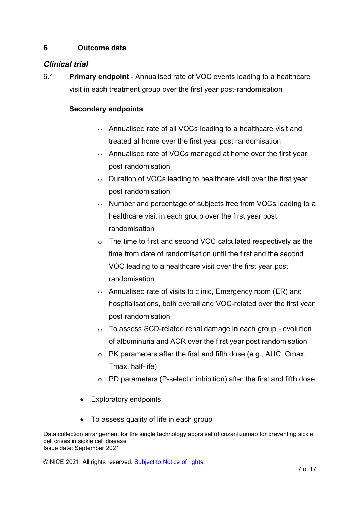#### **6 Outcome data**

#### *Clinical trial*

6.1 **Primary endpoint** - Annualised rate of VOC events leading to a healthcare visit in each treatment group over the first year post-randomisation

#### **Secondary endpoints**

- o Annualised rate of all VOCs leading to a healthcare visit and treated at home over the first year post randomisation
- o Annualised rate of VOCs managed at home over the first year post randomisation
- o Duration of VOCs leading to healthcare visit over the first year post randomisation
- o Number and percentage of subjects free from VOCs leading to a healthcare visit in each group over the first year post randomisation
- o The time to first and second VOC calculated respectively as the time from date of randomisation until the first and the second VOC leading to a healthcare visit over the first year post randomisation
- o Annualised rate of visits to clinic, Emergency room (ER) and hospitalisations, both overall and VOC-related over the first year post randomisation
- o To assess SCD-related renal damage in each group evolution of albuminuria and ACR over the first year post randomisation
- o PK parameters after the first and fifth dose (e.g., AUC, Cmax, Tmax, half-life)
- $\circ$  PD parameters (P-selectin inhibition) after the first and fifth dose
- Exploratory endpoints
- To assess quality of life in each group

Data collection arrangement for the single technology appraisal of crizanlizumab for preventing sickle cell crises in sickle cell disease Issue date: September 2021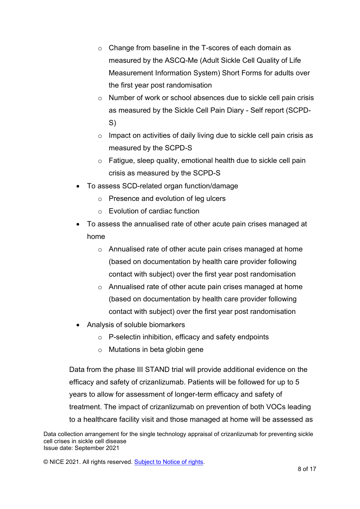- o Change from baseline in the T-scores of each domain as measured by the ASCQ-Me (Adult Sickle Cell Quality of Life Measurement Information System) Short Forms for adults over the first year post randomisation
- o Number of work or school absences due to sickle cell pain crisis as measured by the Sickle Cell Pain Diary - Self report (SCPD-S)
- $\circ$  Impact on activities of daily living due to sickle cell pain crisis as measured by the SCPD-S
- o Fatigue, sleep quality, emotional health due to sickle cell pain crisis as measured by the SCPD-S
- To assess SCD-related organ function/damage
	- o Presence and evolution of leg ulcers
	- o Evolution of cardiac function
- To assess the annualised rate of other acute pain crises managed at home
	- o Annualised rate of other acute pain crises managed at home (based on documentation by health care provider following contact with subject) over the first year post randomisation
	- o Annualised rate of other acute pain crises managed at home (based on documentation by health care provider following contact with subject) over the first year post randomisation
- Analysis of soluble biomarkers
	- o P-selectin inhibition, efficacy and safety endpoints
	- o Mutations in beta globin gene

Data from the phase III STAND trial will provide additional evidence on the efficacy and safety of crizanlizumab. Patients will be followed for up to 5 years to allow for assessment of longer-term efficacy and safety of treatment. The impact of crizanlizumab on prevention of both VOCs leading to a healthcare facility visit and those managed at home will be assessed as

Data collection arrangement for the single technology appraisal of crizanlizumab for preventing sickle cell crises in sickle cell disease Issue date: September 2021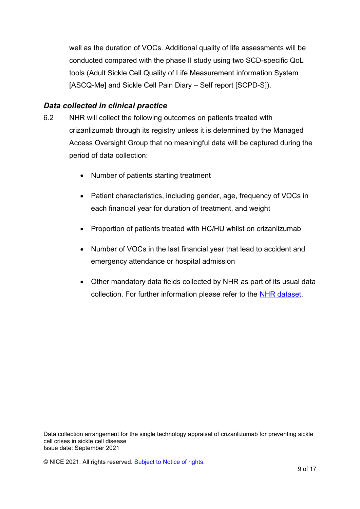well as the duration of VOCs. Additional quality of life assessments will be conducted compared with the phase II study using two SCD-specific QoL tools (Adult Sickle Cell Quality of Life Measurement information System [ASCQ-Me] and Sickle Cell Pain Diary – Self report [SCPD-S]).

#### *Data collected in clinical practice*

- 6.2 NHR will collect the following outcomes on patients treated with crizanlizumab through its registry unless it is determined by the Managed Access Oversight Group that no meaningful data will be captured during the period of data collection:
	- Number of patients starting treatment
	- Patient characteristics, including gender, age, frequency of VOCs in each financial year for duration of treatment, and weight
	- Proportion of patients treated with HC/HU whilst on crizanlizumab
	- Number of VOCs in the last financial year that lead to accident and emergency attendance or hospital admission
	- Other mandatory data fields collected by NHR as part of its usual data collection. For further information please refer to the [NHR dataset.](https://nhr.mdsas.com/)

Data collection arrangement for the single technology appraisal of crizanlizumab for preventing sickle cell crises in sickle cell disease Issue date: September 2021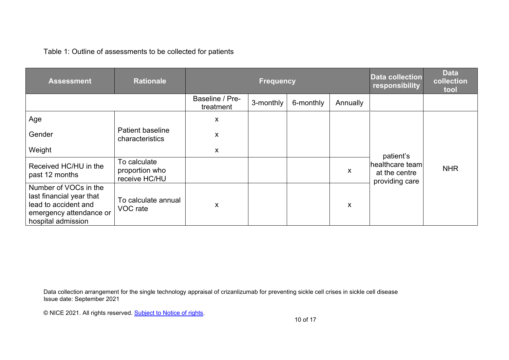Table 1: Outline of assessments to be collected for patients

| <b>Assessment</b>                                                                                                          | <b>Rationale</b>                                | <b>Frequency</b>             |           |           |          | Data collection<br>responsibility                               | <b>Data</b><br>collection<br>tool |
|----------------------------------------------------------------------------------------------------------------------------|-------------------------------------------------|------------------------------|-----------|-----------|----------|-----------------------------------------------------------------|-----------------------------------|
|                                                                                                                            |                                                 | Baseline / Pre-<br>treatment | 3-monthly | 6-monthly | Annually |                                                                 |                                   |
| Age                                                                                                                        | Patient baseline<br>characteristics             | $\mathsf{x}$                 |           |           |          | patient's<br>healthcare team<br>at the centre<br>providing care | <b>NHR</b>                        |
| Gender                                                                                                                     |                                                 | X                            |           |           |          |                                                                 |                                   |
| Weight                                                                                                                     |                                                 | X                            |           |           |          |                                                                 |                                   |
| Received HC/HU in the<br>past 12 months                                                                                    | To calculate<br>proportion who<br>receive HC/HU |                              |           |           | X        |                                                                 |                                   |
| Number of VOCs in the<br>last financial year that<br>lead to accident and<br>emergency attendance or<br>hospital admission | To calculate annual<br>VOC rate                 | X                            |           |           | X        |                                                                 |                                   |

Data collection arrangement for the single technology appraisal of crizanlizumab for preventing sickle cell crises in sickle cell disease Issue date: September 2021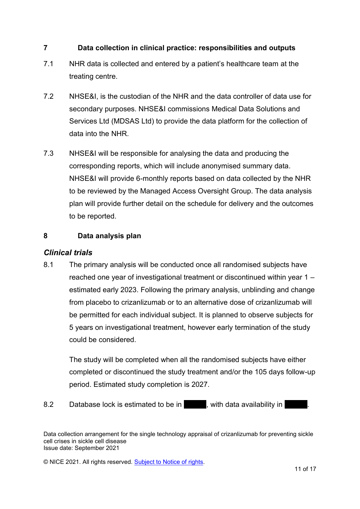#### **7 Data collection in clinical practice: responsibilities and outputs**

- 7.1 NHR data is collected and entered by a patient's healthcare team at the treating centre.
- 7.2 NHSE&I, is the custodian of the NHR and the data controller of data use for secondary purposes. NHSE&I commissions Medical Data Solutions and Services Ltd (MDSAS Ltd) to provide the data platform for the collection of data into the NHR.
- 7.3 NHSE&I will be responsible for analysing the data and producing the corresponding reports, which will include anonymised summary data. NHSE&I will provide 6-monthly reports based on data collected by the NHR to be reviewed by the Managed Access Oversight Group. The data analysis plan will provide further detail on the schedule for delivery and the outcomes to be reported.

#### **8 Data analysis plan**

#### *Clinical trials*

8.1 The primary analysis will be conducted once all randomised subjects have reached one year of investigational treatment or discontinued within year 1 – estimated early 2023. Following the primary analysis, unblinding and change from placebo to crizanlizumab or to an alternative dose of crizanlizumab will be permitted for each individual subject. It is planned to observe subjects for 5 years on investigational treatment, however early termination of the study could be considered.

The study will be completed when all the randomised subjects have either completed or discontinued the study treatment and/or the 105 days follow-up period. Estimated study completion is 2027.

8.2 Database lock is estimated to be in the with data availability in

Data collection arrangement for the single technology appraisal of crizanlizumab for preventing sickle cell crises in sickle cell disease Issue date: September 2021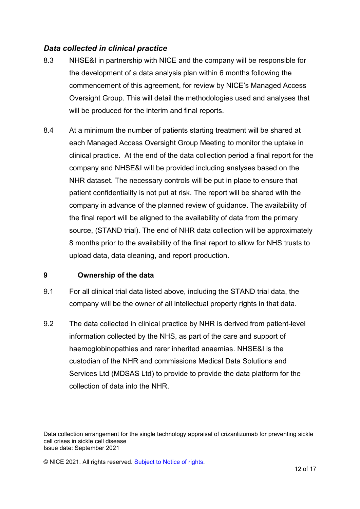#### *Data collected in clinical practice*

- 8.3 NHSE&I in partnership with NICE and the company will be responsible for the development of a data analysis plan within 6 months following the commencement of this agreement, for review by NICE's Managed Access Oversight Group. This will detail the methodologies used and analyses that will be produced for the interim and final reports.
- 8.4 At a minimum the number of patients starting treatment will be shared at each Managed Access Oversight Group Meeting to monitor the uptake in clinical practice. At the end of the data collection period a final report for the company and NHSE&I will be provided including analyses based on the NHR dataset. The necessary controls will be put in place to ensure that patient confidentiality is not put at risk. The report will be shared with the company in advance of the planned review of guidance. The availability of the final report will be aligned to the availability of data from the primary source, (STAND trial). The end of NHR data collection will be approximately 8 months prior to the availability of the final report to allow for NHS trusts to upload data, data cleaning, and report production.

#### **9 Ownership of the data**

- 9.1 For all clinical trial data listed above, including the STAND trial data, the company will be the owner of all intellectual property rights in that data.
- 9.2 The data collected in clinical practice by NHR is derived from patient-level information collected by the NHS, as part of the care and support of haemoglobinopathies and rarer inherited anaemias. NHSE&I is the custodian of the NHR and commissions Medical Data Solutions and Services Ltd (MDSAS Ltd) to provide to provide the data platform for the collection of data into the NHR.

Data collection arrangement for the single technology appraisal of crizanlizumab for preventing sickle cell crises in sickle cell disease Issue date: September 2021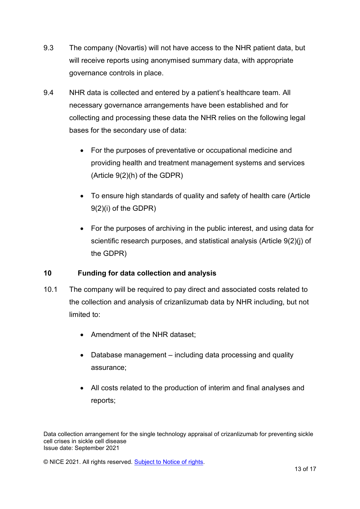- 9.3 The company (Novartis) will not have access to the NHR patient data, but will receive reports using anonymised summary data, with appropriate governance controls in place.
- 9.4 NHR data is collected and entered by a patient's healthcare team. All necessary governance arrangements have been established and for collecting and processing these data the NHR relies on the following legal bases for the secondary use of data:
	- For the purposes of preventative or occupational medicine and providing health and treatment management systems and services (Article 9(2)(h) of the GDPR)
	- To ensure high standards of quality and safety of health care (Article 9(2)(i) of the GDPR)
	- For the purposes of archiving in the public interest, and using data for scientific research purposes, and statistical analysis (Article 9(2)(j) of the GDPR)

#### **10 Funding for data collection and analysis**

- 10.1 The company will be required to pay direct and associated costs related to the collection and analysis of crizanlizumab data by NHR including, but not limited to:
	- Amendment of the NHR dataset;
	- Database management including data processing and quality assurance;
	- All costs related to the production of interim and final analyses and reports;

Data collection arrangement for the single technology appraisal of crizanlizumab for preventing sickle cell crises in sickle cell disease Issue date: September 2021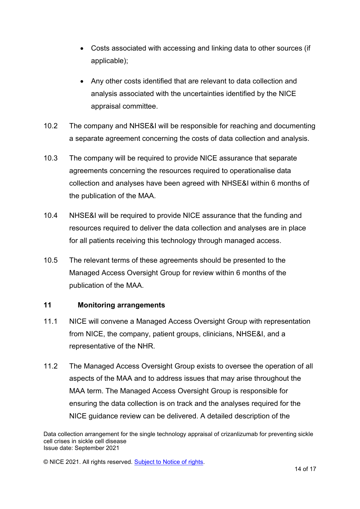- Costs associated with accessing and linking data to other sources (if applicable);
- Any other costs identified that are relevant to data collection and analysis associated with the uncertainties identified by the NICE appraisal committee.
- 10.2 The company and NHSE&I will be responsible for reaching and documenting a separate agreement concerning the costs of data collection and analysis.
- 10.3 The company will be required to provide NICE assurance that separate agreements concerning the resources required to operationalise data collection and analyses have been agreed with NHSE&I within 6 months of the publication of the MAA.
- 10.4 NHSE&I will be required to provide NICE assurance that the funding and resources required to deliver the data collection and analyses are in place for all patients receiving this technology through managed access.
- 10.5 The relevant terms of these agreements should be presented to the Managed Access Oversight Group for review within 6 months of the publication of the MAA.

#### **11 Monitoring arrangements**

- 11.1 NICE will convene a Managed Access Oversight Group with representation from NICE, the company, patient groups, clinicians, NHSE&I, and a representative of the NHR.
- 11.2 The Managed Access Oversight Group exists to oversee the operation of all aspects of the MAA and to address issues that may arise throughout the MAA term. The Managed Access Oversight Group is responsible for ensuring the data collection is on track and the analyses required for the NICE guidance review can be delivered. A detailed description of the

Data collection arrangement for the single technology appraisal of crizanlizumab for preventing sickle cell crises in sickle cell disease Issue date: September 2021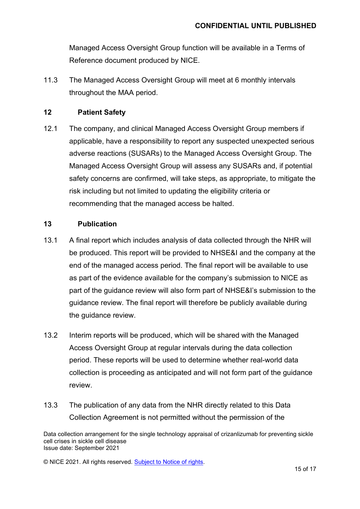Managed Access Oversight Group function will be available in a Terms of Reference document produced by NICE.

11.3 The Managed Access Oversight Group will meet at 6 monthly intervals throughout the MAA period.

#### **12 Patient Safety**

12.1 The company, and clinical Managed Access Oversight Group members if applicable, have a responsibility to report any suspected unexpected serious adverse reactions (SUSARs) to the Managed Access Oversight Group. The Managed Access Oversight Group will assess any SUSARs and, if potential safety concerns are confirmed, will take steps, as appropriate, to mitigate the risk including but not limited to updating the eligibility criteria or recommending that the managed access be halted.

#### **13 Publication**

- 13.1 A final report which includes analysis of data collected through the NHR will be produced. This report will be provided to NHSE&I and the company at the end of the managed access period. The final report will be available to use as part of the evidence available for the company's submission to NICE as part of the guidance review will also form part of NHSE&I's submission to the guidance review. The final report will therefore be publicly available during the guidance review.
- 13.2 Interim reports will be produced, which will be shared with the Managed Access Oversight Group at regular intervals during the data collection period. These reports will be used to determine whether real-world data collection is proceeding as anticipated and will not form part of the guidance review.
- 13.3 The publication of any data from the NHR directly related to this Data Collection Agreement is not permitted without the permission of the

Data collection arrangement for the single technology appraisal of crizanlizumab for preventing sickle cell crises in sickle cell disease Issue date: September 2021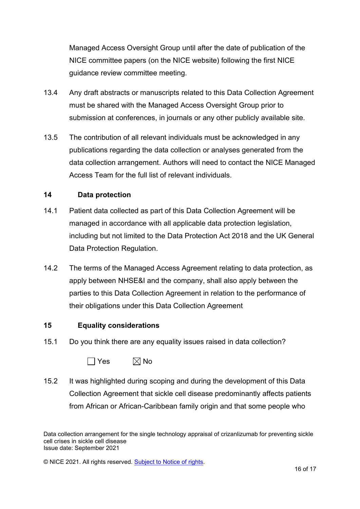Managed Access Oversight Group until after the date of publication of the NICE committee papers (on the NICE website) following the first NICE guidance review committee meeting.

- 13.4 Any draft abstracts or manuscripts related to this Data Collection Agreement must be shared with the Managed Access Oversight Group prior to submission at conferences, in journals or any other publicly available site.
- 13.5 The contribution of all relevant individuals must be acknowledged in any publications regarding the data collection or analyses generated from the data collection arrangement. Authors will need to contact the NICE Managed Access Team for the full list of relevant individuals.

#### **14 Data protection**

- 14.1 Patient data collected as part of this Data Collection Agreement will be managed in accordance with all applicable data protection legislation, including but not limited to the Data Protection Act 2018 and the UK General Data Protection Regulation.
- 14.2 The terms of the Managed Access Agreement relating to data protection, as apply between NHSE&I and the company, shall also apply between the parties to this Data Collection Agreement in relation to the performance of their obligations under this Data Collection Agreement

#### **15 Equality considerations**

15.1 Do you think there are any equality issues raised in data collection?

 $\Box$  Yes  $\boxtimes$  No

15.2 It was highlighted during scoping and during the development of this Data Collection Agreement that sickle cell disease predominantly affects patients from African or African-Caribbean family origin and that some people who

Data collection arrangement for the single technology appraisal of crizanlizumab for preventing sickle cell crises in sickle cell disease Issue date: September 2021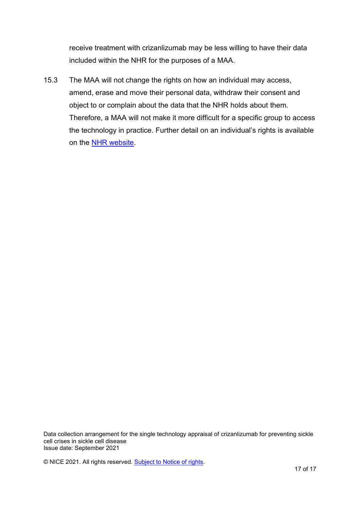receive treatment with crizanlizumab may be less willing to have their data included within the NHR for the purposes of a MAA.

15.3 The MAA will not change the rights on how an individual may access, amend, erase and move their personal data, withdraw their consent and object to or complain about the data that the NHR holds about them. Therefore, a MAA will not make it more difficult for a specific group to access the technology in practice. Further detail on an individual's rights is available on the NHR website.

Data collection arrangement for the single technology appraisal of crizanlizumab for preventing sickle cell crises in sickle cell disease Issue date: September 2021